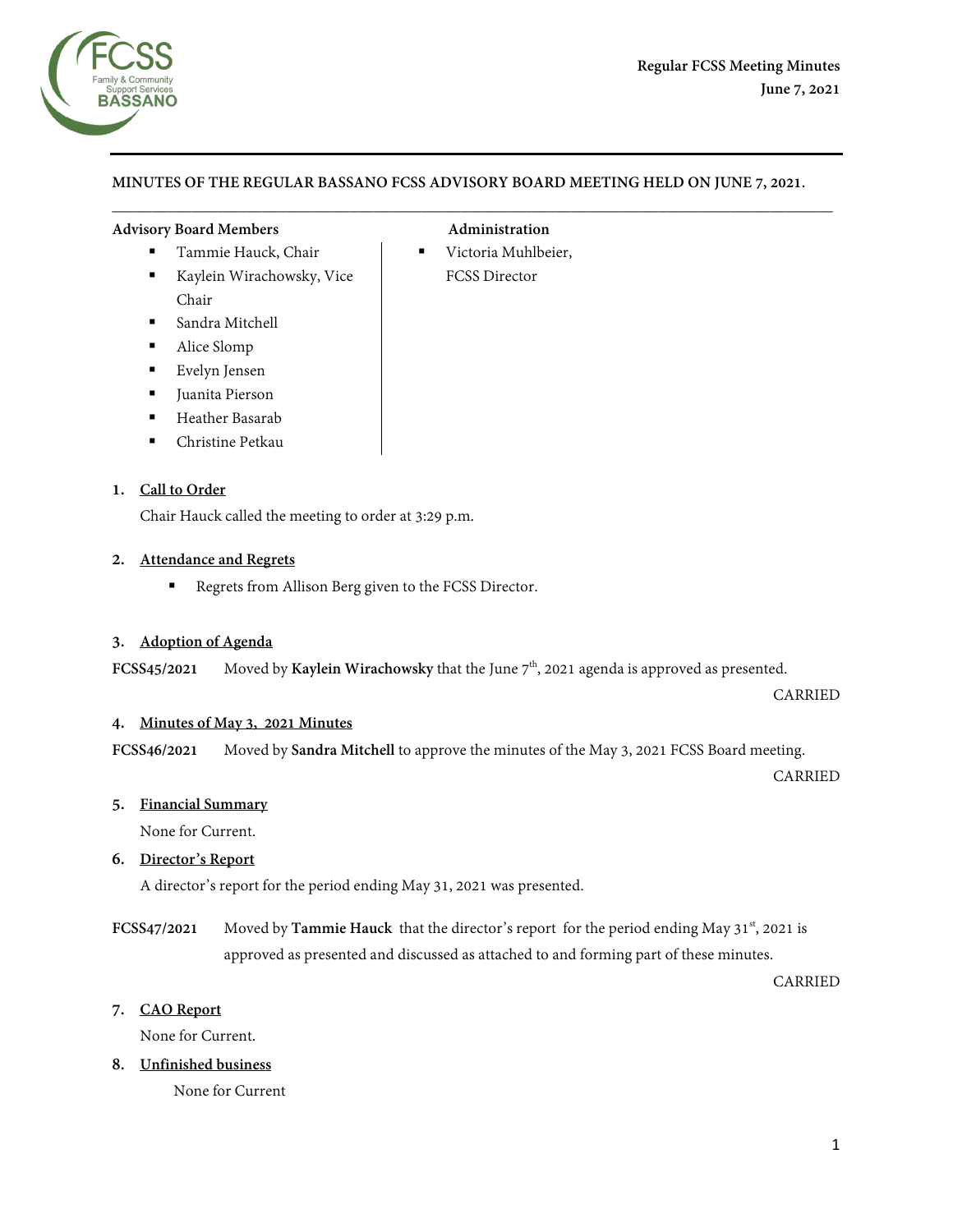

# **MINUTES OF THE REGULAR BASSANO FCSS ADVISORY BOARD MEETING HELD ON JUNE 7, 2021.**

 $\overline{\phantom{a}}$  , and the contribution of the contribution of the contribution of the contribution of the contribution of the contribution of the contribution of the contribution of the contribution of the contribution of the

#### **Advisory Board Members Administration**

- 
- Kaylein Wirachowsky, Vice Chair
- Sandra Mitchell
- Alice Slomp
- Evelyn Jensen
- **Juanita Pierson**
- **Heather Basarab**
- Christine Petkau

#### **1. Call to Order**

Chair Hauck called the meeting to order at 3:29 p.m.

#### **2. Attendance and Regrets**

Regrets from Allison Berg given to the FCSS Director.

#### **3. Adoption of Agenda**

**FCSS45/2021** Moved by **Kaylein Wirachowsky** that the June  $7<sup>th</sup>$ , 2021 agenda is approved as presented.

CARRIED

#### **4. Minutes of May 3, 2021 Minutes**

**FCSS46/2021** Moved by **Sandra Mitchell** to approve the minutes of the May 3, 2021 FCSS Board meeting.

CARRIED

#### **5. Financial Summary**

None for Current.

#### **6. Director's Report**

A director's report for the period ending May 31, 2021 was presented.

**FCSS47/2021** Moved by **Tammie Hauck** that the director's report for the period ending May 31<sup>st</sup>, 2021 is approved as presented and discussed as attached to and forming part of these minutes.

CARRIED

#### **7. CAO Report**

None for Current.

**8. Unfinished business**

None for Current

Tammie Hauck, Chair **Information** Victoria Muhlbeier, FCSS Director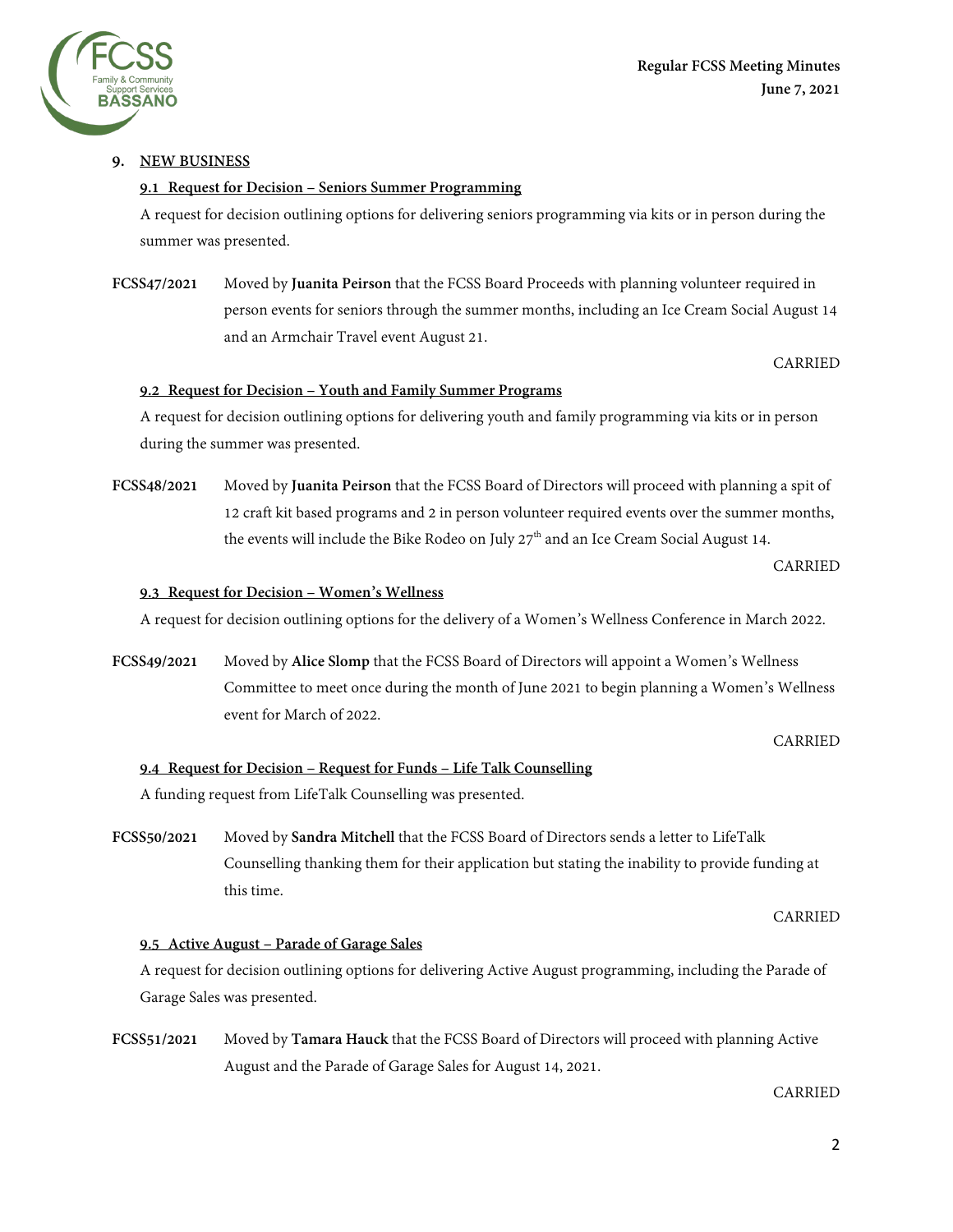

# **9. NEW BUSINESS**

# **9.1 Request for Decision – Seniors Summer Programming**

A request for decision outlining options for delivering seniors programming via kits or in person during the summer was presented.

# **FCSS47/2021** Moved by **Juanita Peirson** that the FCSS Board Proceeds with planning volunteer required in person events for seniors through the summer months, including an Ice Cream Social August 14 and an Armchair Travel event August 21.

# CARRIED

# **9.2 Request for Decision – Youth and Family Summer Programs**

A request for decision outlining options for delivering youth and family programming via kits or in person during the summer was presented.

**FCSS48/2021** Moved by **Juanita Peirson** that the FCSS Board of Directors will proceed with planning a spit of 12 craft kit based programs and 2 in person volunteer required events over the summer months, the events will include the Bike Rodeo on July  $27<sup>th</sup>$  and an Ice Cream Social August 14.

# CARRIED

#### **9.3 Request for Decision – Women's Wellness**

A request for decision outlining options for the delivery of a Women's Wellness Conference in March 2022.

**FCSS49/2021** Moved by **Alice Slomp** that the FCSS Board of Directors will appoint a Women's Wellness Committee to meet once during the month of June 2021 to begin planning a Women's Wellness event for March of 2022.

CARRIED

#### **9.4 Request for Decision – Request for Funds – Life Talk Counselling**

A funding request from LifeTalk Counselling was presented.

**FCSS50/2021** Moved by **Sandra Mitchell** that the FCSS Board of Directors sends a letter to LifeTalk Counselling thanking them for their application but stating the inability to provide funding at this time.

CARRIED

#### **9.5 Active August – Parade of Garage Sales**

A request for decision outlining options for delivering Active August programming, including the Parade of Garage Sales was presented.

**FCSS51/2021** Moved by **Tamara Hauck** that the FCSS Board of Directors will proceed with planning Active August and the Parade of Garage Sales for August 14, 2021.

CARRIED